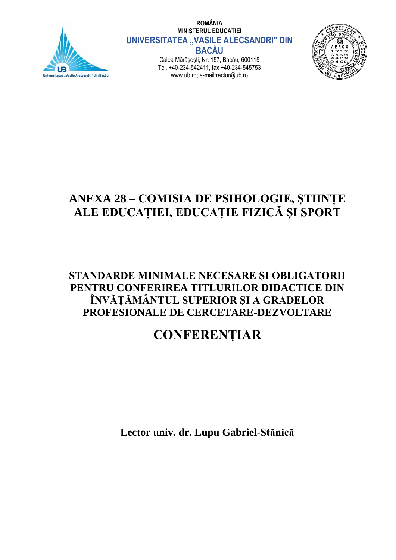

**ROMÂNIA MINISTERUL EDUCAȚIEI UNIVERSITATEA "VASILE ALECSANDRI" DIN BACĂU**

Calea Mărăşeşti, Nr. 157, Bacău, 600115 Tel. +40-234-542411, fax +40-234-545753 www.ub.ro; e-mail:rector@ub.ro



## **ANEXA 28 – COMISIA DE PSIHOLOGIE, ȘTIINȚE ALE EDUCAȚIEI, EDUCAȚIE FIZICĂ ȘI SPORT**

### **STANDARDE MINIMALE NECESARE ȘI OBLIGATORII PENTRU CONFERIREA TITLURILOR DIDACTICE DIN ÎNVĂȚĂMÂNTUL SUPERIOR ȘI A GRADELOR PROFESIONALE DE CERCETARE-DEZVOLTARE**

# **CONFERENȚIAR**

**Lector univ. dr. Lupu Gabriel-Stănică**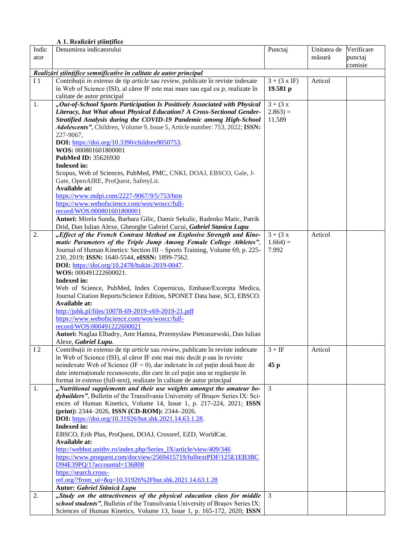#### **A 1. Realizări științifice**

| Indic          | Denumirea indicatorului                                                                                                                                     | Punctaj             | Unitatea de | Verificare |
|----------------|-------------------------------------------------------------------------------------------------------------------------------------------------------------|---------------------|-------------|------------|
| ator           |                                                                                                                                                             |                     | măsură      | punctaj    |
|                |                                                                                                                                                             |                     |             | comisie    |
|                | Realizări științifice semnificative în calitate de autor principal                                                                                          |                     |             |            |
| I <sub>1</sub> | Contribuții in extenso de tip article sau review, publicate în reviste indexate                                                                             | $3 + (3 \times IF)$ | Articol     |            |
|                | în Web of Science (ISI), al căror IF este mai mare sau egal cu $p$ , realizate în                                                                           | 19.581 $p$          |             |            |
|                | calitate de autor principal                                                                                                                                 |                     |             |            |
| 1.             | "Out-of-School Sports Participation Is Positively Associated with Physical                                                                                  | $3 + (3x)$          |             |            |
|                | Literacy, but What about Physical Education? A Cross-Sectional Gender-                                                                                      | $2.863 =$           |             |            |
|                | Stratified Analysis during the COVID-19 Pandemic among High-School                                                                                          | 11.589              |             |            |
|                | Adolescents", Children, Volume 9, Issue 5, Article number: 753, 2022; ISSN:                                                                                 |                     |             |            |
|                | 227-9067,                                                                                                                                                   |                     |             |            |
|                | <b>DOI:</b> https://doi.org/10.3390/children9050753.                                                                                                        |                     |             |            |
|                | WOS: 000801601800001                                                                                                                                        |                     |             |            |
|                | PubMed ID: 35626930<br>Indexed in:                                                                                                                          |                     |             |            |
|                | Scopus, Web of Sciences, PubMed, PMC, CNKI, DOAJ, EBSCO, Gale, J-                                                                                           |                     |             |            |
|                | Gate, OpenAIRE, ProQuest, SafetyLit.                                                                                                                        |                     |             |            |
|                | Available at:                                                                                                                                               |                     |             |            |
|                | https://www.mdpi.com/2227-9067/9/5/753/htm                                                                                                                  |                     |             |            |
|                | https://www.webofscience.com/wos/woscc/full-                                                                                                                |                     |             |            |
|                | record/WOS:000801601800001                                                                                                                                  |                     |             |            |
|                | Autori: Mirela Sunda, Barbara Gilic, Damir Sekulic, Radenko Matic, Patrik                                                                                   |                     |             |            |
|                | Drid, Dan Iulian Alexe, Gheorghe Gabriel Cucui, Gabriel Stanica Lupu                                                                                        |                     |             |            |
| 2.             | "Effect of the French Contrast Method on Explosive Strength and Kine-                                                                                       | $3 + (3 x)$         | Articol     |            |
|                | matic Parameters of the Triple Jump Among Female College Athletes",                                                                                         | $1.664 =$           |             |            |
|                | Journal of Human Kinetics: Section III - Sports Training, Volume 69, p. 225-                                                                                | 7.992               |             |            |
|                | 230, 2019; ISSN: 1640-5544, eISSN: 1899-7562.                                                                                                               |                     |             |            |
|                | <b>DOI:</b> https://doi.org/10.2478/hukin-2019-0047.                                                                                                        |                     |             |            |
|                | WOS: 000491222600021.                                                                                                                                       |                     |             |            |
|                | Indexed in:                                                                                                                                                 |                     |             |            |
|                | Web of Science, PubMed, Index Copernicus, Embase/Excerpta Medica,                                                                                           |                     |             |            |
|                | Journal Citation Reports/Science Edition, SPONET Data base, SCI, EBSCO.                                                                                     |                     |             |            |
|                | Available at:                                                                                                                                               |                     |             |            |
|                | http://johk.pl/files/10078-69-2019-v69-2019-21.pdf                                                                                                          |                     |             |            |
|                | https://www.webofscience.com/wos/woscc/full-                                                                                                                |                     |             |            |
|                | record/WOS:000491222600021                                                                                                                                  |                     |             |            |
|                | Autori: Naglaa Elbadry, Amr Hamza, Przemyslaw Pietraszewski, Dan Iulian                                                                                     |                     |             |            |
| <b>I2</b>      | Alexe, Gabriel Lupu.                                                                                                                                        | $3 + IF$            | Articol     |            |
|                | Contribuții in extenso de tip article sau review, publicate în reviste indexate<br>în Web of Science (ISI), al căror IF este mai mic decât p sau în reviste |                     |             |            |
|                | neindexate Web of Science (IF = 0), dar indexate în cel puțin două baze de                                                                                  | 45p                 |             |            |
|                | date internaționale recunoscute, din care în cel puțin una se regăsește în                                                                                  |                     |             |            |
|                | format in extenso (full-text), realizate în calitate de autor principal                                                                                     |                     |             |            |
| 1.             | "Nutritional supplements and their use weights amongst the amateur bo-                                                                                      | $\mathfrak{Z}$      |             |            |
|                | dybuilders", Bulletin of the Transilvania University of Brașov Series IX: Sci-                                                                              |                     |             |            |
|                | ences of Human Kinetics, Volume 14, Issue 1, p. 217-224, 2021; ISSN                                                                                         |                     |             |            |
|                | (print): 2344-2026, ISSN (CD-ROM): 2344-2026.                                                                                                               |                     |             |            |
|                | DOI: https://doi.org/10.31926/but.shk.2021.14.63.1.28.                                                                                                      |                     |             |            |
|                | Indexed in:                                                                                                                                                 |                     |             |            |
|                | EBSCO, Erih Plus, ProQuest, DOAJ, Crossref, EZD, WorldCat.                                                                                                  |                     |             |            |
|                | Available at:                                                                                                                                               |                     |             |            |
|                | http://webbut.unitbv.ro/index.php/Series IX/article/view/409/346                                                                                            |                     |             |            |
|                | https://www.proquest.com/docview/2569415719/fulltextPDF/125E1EB3BC                                                                                          |                     |             |            |
|                | D94E39PQ/1?accountid=136808                                                                                                                                 |                     |             |            |
|                | https://search.cross-                                                                                                                                       |                     |             |            |
|                | ref.org/?from_ui=&q=10.31926%2Fbut.shk.2021.14.63.1.28                                                                                                      |                     |             |            |
|                | Autor: Gabriel Stănică Lupu                                                                                                                                 |                     |             |            |
| 2.             | "Study on the attractiveness of the physical education class for middle                                                                                     | 3                   |             |            |
|                | school students", Bulletin of the Transilvania University of Brașov Series IX:                                                                              |                     |             |            |
|                | Sciences of Human Kinetics, Volume 13, Issue 1, p. 165-172, 2020; ISSN                                                                                      |                     |             |            |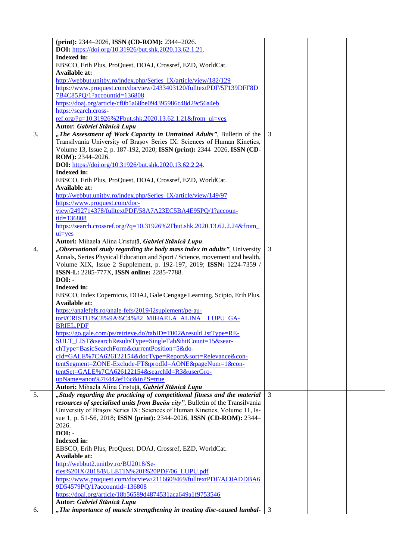|    | (print): 2344–2026, ISSN (CD-ROM): 2344–2026.                                                          |   |  |
|----|--------------------------------------------------------------------------------------------------------|---|--|
|    | <b>DOI:</b> https://doi.org/10.31926/but.shk.2020.13.62.1.21.                                          |   |  |
|    | <b>Indexed in:</b>                                                                                     |   |  |
|    | EBSCO, Erih Plus, ProQuest, DOAJ, Crossref, EZD, WorldCat.                                             |   |  |
|    | Available at:                                                                                          |   |  |
|    | http://webbut.unitbv.ro/index.php/Series_IX/article/view/182/129                                       |   |  |
|    | https://www.proquest.com/docview/2433403120/fulltextPDF/5F139DFF8D                                     |   |  |
|    | 7B4C85PQ/1?accountid=136808                                                                            |   |  |
|    | https://doaj.org/article/cf0b5a68be094395986c48d29c56a4eb                                              |   |  |
|    | https://search.cross-                                                                                  |   |  |
|    | ref.org/?q=10.31926%2Fbut.shk.2020.13.62.1.21&from_ui=yes                                              |   |  |
|    | Autor: Gabriel Stănică Lupu                                                                            |   |  |
| 3. | "The Assessment of Work Capacity in Untrained Adults", Bulletin of the                                 | 3 |  |
|    | Transilvania University of Brașov Series IX: Sciences of Human Kinetics,                               |   |  |
|    | Volume 13, Issue 2, p. 187-192, 2020; ISSN (print): 2344-2026, ISSN (CD-                               |   |  |
|    | ROM): 2344-2026.                                                                                       |   |  |
|    | DOI: https://doi.org/10.31926/but.shk.2020.13.62.2.24.                                                 |   |  |
|    | <b>Indexed in:</b>                                                                                     |   |  |
|    | EBSCO, Erih Plus, ProQuest, DOAJ, Crossref, EZD, WorldCat.                                             |   |  |
|    | <b>Available at:</b>                                                                                   |   |  |
|    |                                                                                                        |   |  |
|    | http://webbut.unitbv.ro/index.php/Series_IX/article/view/149/97                                        |   |  |
|    | https://www.proquest.com/doc-                                                                          |   |  |
|    | view/2492714378/fulltextPDF/58A7A23EC5BA4E95PQ/1?accoun-                                               |   |  |
|    | tid=136808                                                                                             |   |  |
|    | https://search.crossref.org/?q=10.31926%2Fbut.shk.2020.13.62.2.24&from                                 |   |  |
|    | $ui=ves$                                                                                               |   |  |
|    | Autori: Mihaela Alina Cristuță, Gabriel Stănică Lupu                                                   |   |  |
| 4. | "Observational study regarding the body mass index in adults", University                              | 3 |  |
|    | Annals, Series Physical Education and Sport / Science, movement and health,                            |   |  |
|    | Volume XIX, Issue 2 Supplement, p. 192-197, 2019; ISSN: 1224-7359 /                                    |   |  |
|    | ISSN-L: 2285-777X, ISSN online: 2285-7788.                                                             |   |  |
|    | $DOI: -$                                                                                               |   |  |
|    |                                                                                                        |   |  |
|    |                                                                                                        |   |  |
|    | <b>Indexed in:</b>                                                                                     |   |  |
|    | EBSCO, Index Copernicus, DOAJ, Gale Cengage Learning, Scipio, Erih Plus.                               |   |  |
|    | Available at:                                                                                          |   |  |
|    | https://analefefs.ro/anale-fefs/2019/i2suplement/pe-au-                                                |   |  |
|    | tori/CRISTU%C8%9A%C4%82 MIHAELA ALINA LUPU GA-                                                         |   |  |
|    | <b>BRIEL.PDF</b>                                                                                       |   |  |
|    | https://go.gale.com/ps/retrieve.do?tabID=T002&resultListType=RE-                                       |   |  |
|    | SULT LIST&searchResultsType=SingleTab&hitCount=15&sear-                                                |   |  |
|    | chType=BasicSearchForm&currentPosition=5&do-                                                           |   |  |
|    | cId=GALE%7CA626122154&docType=Report&sort=Relevance&con-                                               |   |  |
|    | tentSegment=ZONE-Exclude-FT&prodId=AONE&pageNum=1&con-                                                 |   |  |
|    | tentSet=GALE%7CA626122154&searchId=R3&userGro-                                                         |   |  |
|    | upName=anon%7E442ef16c&inPS=true                                                                       |   |  |
|    | Autori: Mihaela Alina Cristuță, Gabriel Stănică Lupu                                                   |   |  |
| 5. | "Study regarding the practicing of competitional fitness and the material                              | 3 |  |
|    | resources of specialised units from Bacău city", Bulletin of the Transilvania                          |   |  |
|    | University of Brașov Series IX: Sciences of Human Kinetics, Volume 11, Is-                             |   |  |
|    | sue 1, p. 51-56, 2018; ISSN (print): 2344-2026, ISSN (CD-ROM): 2344-                                   |   |  |
|    | 2026.                                                                                                  |   |  |
|    | DOI: -                                                                                                 |   |  |
|    | Indexed in:                                                                                            |   |  |
|    | EBSCO, Erih Plus, ProQuest, DOAJ, Crossref, EZD, WorldCat.                                             |   |  |
|    | Available at:                                                                                          |   |  |
|    | http://webbut2.unitbv.ro/BU2018/Se-                                                                    |   |  |
|    | ries%20IX/2018/BULETIN%20I%20PDF/06_LUPU.pdf                                                           |   |  |
|    | https://www.proquest.com/docview/2116609469/fulltextPDF/AC0ADDBA6                                      |   |  |
|    | 9D54579PQ/1?accountid=136808                                                                           |   |  |
|    |                                                                                                        |   |  |
|    | https://doaj.org/article/18b56589d4874531aca649a1f9753546                                              |   |  |
| 6. | Autor: Gabriel Stănică Lupu<br>"The importance of muscle strengthening in treating disc-caused lumbal- | 3 |  |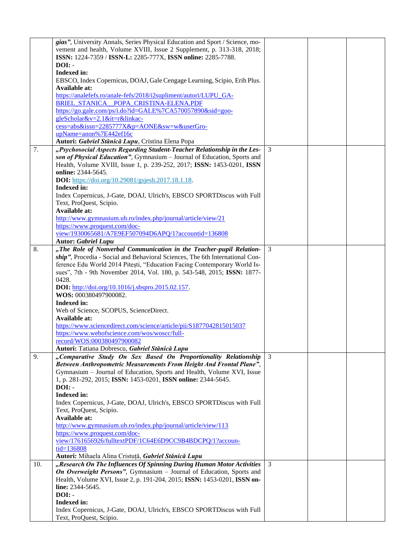|     | gias", University Annals, Series Physical Education and Sport / Science, mo-<br>vement and health, Volume XVIII, Issue 2 Supplement, p. 313-318, 2018; |   |  |
|-----|--------------------------------------------------------------------------------------------------------------------------------------------------------|---|--|
|     | ISSN: 1224-7359 / ISSN-L: 2285-777X, ISSN online: 2285-7788.                                                                                           |   |  |
|     | $DOI: -$                                                                                                                                               |   |  |
|     | Indexed in:                                                                                                                                            |   |  |
|     | EBSCO, Index Copernicus, DOAJ, Gale Cengage Learning, Scipio, Erih Plus.<br>Available at:                                                              |   |  |
|     | https://analefefs.ro/anale-fefs/2018/i2supliment/autori/LUPU_GA-                                                                                       |   |  |
|     | BRIEL STANICA POPA CRISTINA-ELENA.PDF                                                                                                                  |   |  |
|     | https://go.gale.com/ps/i.do?id=GALE%7CA570057890&sid=goo-                                                                                              |   |  |
|     | gleScholar&v=2.1⁢=r&linkac-                                                                                                                            |   |  |
|     | cess=abs&issn=2285777X&p=AONE&sw=w&userGro-                                                                                                            |   |  |
|     | upName=anon%7E442ef16c                                                                                                                                 |   |  |
|     | Autori: Gabriel Stănică Lupu, Cristina Elena Popa                                                                                                      |   |  |
| 7.  | "Psychosocial Aspects Regarding Student-Teacher Relationship in the Les-                                                                               | 3 |  |
|     | son of Physical Education", Gymnasium - Journal of Education, Sports and                                                                               |   |  |
|     | Health, Volume XVIII, Issue 1, p. 239-252, 2017; ISSN: 1453-0201, ISSN                                                                                 |   |  |
|     | online: 2344-5645.                                                                                                                                     |   |  |
|     | <b>DOI:</b> https://doi.org/10.29081/gsjesh.2017.18.1.18.                                                                                              |   |  |
|     | Indexed in:                                                                                                                                            |   |  |
|     | Index Copernicus, J-Gate, DOAJ, Ulrich's, EBSCO SPORTDiscus with Full                                                                                  |   |  |
|     | Text, ProQuest, Scipio.<br>Available at:                                                                                                               |   |  |
|     | http://www.gymnasium.ub.ro/index.php/journal/article/view/21                                                                                           |   |  |
|     | https://www.proquest.com/doc-                                                                                                                          |   |  |
|     | view/1930065681/A7E9EF507094D6APQ/1?accountid=136808                                                                                                   |   |  |
|     | <b>Autor: Gabriel Lupu</b>                                                                                                                             |   |  |
| 8.  | "The Role of Nonverbal Communication in the Teacher-pupil Relation-                                                                                    | 3 |  |
|     | ship", Procedia - Social and Behavioral Sciences, The 6th International Con-                                                                           |   |  |
|     | ference Edu World 2014 Pitești, "Education Facing Contemporary World Is-                                                                               |   |  |
|     | sues", 7th - 9th November 2014, Vol. 180, p. 543-548, 2015; ISSN: 1877-                                                                                |   |  |
|     | 0428.                                                                                                                                                  |   |  |
|     | <b>DOI:</b> http://doi.org/10.1016/j.sbspro.2015.02.157.                                                                                               |   |  |
|     | WOS: 000380497900082.                                                                                                                                  |   |  |
|     | Indexed in:                                                                                                                                            |   |  |
|     | Web of Science, SCOPUS, ScienceDirect.<br>Available at:                                                                                                |   |  |
|     | https://www.sciencedirect.com/science/article/pii/S1877042815015037                                                                                    |   |  |
|     | https://www.webofscience.com/wos/woscc/full-                                                                                                           |   |  |
|     | record/WOS:000380497900082                                                                                                                             |   |  |
|     | Autori: Tatiana Dobrescu, Gabriel Stănică Lupu                                                                                                         |   |  |
| 9.  | "Comparative Study On Sex Based On Proportionality Relationship                                                                                        | 3 |  |
|     | Between Anthropometric Measurements From Height And Frontal Plane",                                                                                    |   |  |
|     | Gymnasium - Journal of Education, Sports and Health, Volume XVI, Issue                                                                                 |   |  |
|     | 1, p. 281-292, 2015; ISSN: 1453-0201, ISSN online: 2344-5645.                                                                                          |   |  |
|     | $DOI: -$                                                                                                                                               |   |  |
|     | <b>Indexed in:</b>                                                                                                                                     |   |  |
|     | Index Copernicus, J-Gate, DOAJ, Ulrich's, EBSCO SPORTDiscus with Full                                                                                  |   |  |
|     | Text, ProQuest, Scipio.<br>Available at:                                                                                                               |   |  |
|     | http://www.gymnasium.ub.ro/index.php/journal/article/view/113                                                                                          |   |  |
|     | https://www.proquest.com/doc-                                                                                                                          |   |  |
|     | view/1761656926/fulltextPDF/1C64E6D9CC9B4BDCPQ/1?accoun-                                                                                               |   |  |
|     | tid=136808                                                                                                                                             |   |  |
|     | Autori: Mihaela Alina Cristuță, Gabriel Stănică Lupu                                                                                                   |   |  |
| 10. | "Research On The Influences Of Spinning During Human Motor Activities                                                                                  | 3 |  |
|     | <b>On Overweight Persons</b> ", Gymnasium – Journal of Education, Sports and                                                                           |   |  |
|     | Health, Volume XVI, Issue 2, p. 191-204, 2015; ISSN: 1453-0201, ISSN on-                                                                               |   |  |
|     | line: 2344-5645.                                                                                                                                       |   |  |
|     | DOI: -                                                                                                                                                 |   |  |
|     | Indexed in:                                                                                                                                            |   |  |
|     | Index Copernicus, J-Gate, DOAJ, Ulrich's, EBSCO SPORTDiscus with Full                                                                                  |   |  |
|     | Text, ProQuest, Scipio.                                                                                                                                |   |  |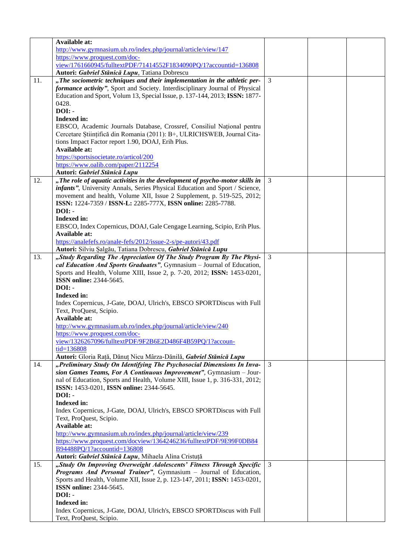|     | Available at:                                                                |                |  |
|-----|------------------------------------------------------------------------------|----------------|--|
|     | http://www.gymnasium.ub.ro/index.php/journal/article/view/147                |                |  |
|     | https://www.proquest.com/doc-                                                |                |  |
|     | view/1761660945/fulltextPDF/71414552F1834090PQ/1?accountid=136808            |                |  |
|     | Autori: Gabriel Stănică Lupu, Tatiana Dobrescu                               |                |  |
| 11. | "The sociometric techniques and their implementation in the athletic per-    | $\overline{3}$ |  |
|     | formance activity", Sport and Society. Interdisciplinary Journal of Physical |                |  |
|     | Education and Sport, Volum 13, Special Issue, p. 137-144, 2013; ISSN: 1877-  |                |  |
|     | 0428.                                                                        |                |  |
|     | DOI: -                                                                       |                |  |
|     | Indexed in:                                                                  |                |  |
|     | EBSCO, Academic Journals Database, Crossref, Consiliul Național pentru       |                |  |
|     | Cercetare Științifică din Romania (2011): B+, ULRICHSWEB, Journal Cita-      |                |  |
|     | tions Impact Factor report 1.90, DOAJ, Erih Plus.                            |                |  |
|     | Available at:                                                                |                |  |
|     | https://sportsisocietate.ro/articol/200                                      |                |  |
|     | https://www.oalib.com/paper/2112254                                          |                |  |
|     | Autori: Gabriel Stănică Lupu                                                 |                |  |
| 12. | "The role of aquatic activities in the development of psycho-motor skills in | 3              |  |
|     | infants", University Annals, Series Physical Education and Sport / Science,  |                |  |
|     | movement and health, Volume XII, Issue 2 Supplement, p. 519-525, 2012;       |                |  |
|     | ISSN: 1224-7359 / ISSN-L: 2285-777X, ISSN online: 2285-7788.                 |                |  |
|     | $DOI: -$                                                                     |                |  |
|     | Indexed in:                                                                  |                |  |
|     | EBSCO, Index Copernicus, DOAJ, Gale Cengage Learning, Scipio, Erih Plus.     |                |  |
|     | Available at:                                                                |                |  |
|     | https://analefefs.ro/anale-fefs/2012/issue-2-s/pe-autori/43.pdf              |                |  |
|     | Autori: Silviu Șalgău, Tatiana Dobrescu, Gabriel Stănică Lupu                |                |  |
| 13. | "Study Regarding The Appreciation Of The Study Program By The Physi-         | 3              |  |
|     | cal Education And Sports Graduates", Gymnasium - Journal of Education,       |                |  |
|     | Sports and Health, Volume XIII, Issue 2, p. 7-20, 2012; ISSN: 1453-0201,     |                |  |
|     | <b>ISSN</b> online: 2344-5645.                                               |                |  |
|     | DOI: -                                                                       |                |  |
|     | Indexed in:                                                                  |                |  |
|     | Index Copernicus, J-Gate, DOAJ, Ulrich's, EBSCO SPORTDiscus with Full        |                |  |
|     | Text, ProQuest, Scipio.                                                      |                |  |
|     | <b>Available at:</b>                                                         |                |  |
|     | http://www.gymnasium.ub.ro/index.php/journal/article/view/240                |                |  |
|     | https://www.proquest.com/doc-                                                |                |  |
|     | view/1326267096/fulltextPDF/9F2B6E2D486F4B59PQ/1?accoun-                     |                |  |
|     | tid=136808                                                                   |                |  |
|     | Autori: Gloria Rață, Dănuț Nicu Mârza-Dănilă, Gabriel Stănică Lupu           |                |  |
| 14. | "Preliminary Study On Identifying The Psychosocial Dimensions In Inva-       | 3              |  |
|     | sion Games Teams, For A Continuous Improvement", Gymnasium - Jour-           |                |  |
|     | nal of Education, Sports and Health, Volume XIII, Issue 1, p. 316-331, 2012; |                |  |
|     | ISSN: 1453-0201, ISSN online: 2344-5645.                                     |                |  |
|     | DOI: -                                                                       |                |  |
|     | <b>Indexed in:</b>                                                           |                |  |
|     | Index Copernicus, J-Gate, DOAJ, Ulrich's, EBSCO SPORTDiscus with Full        |                |  |
|     | Text, ProQuest, Scipio.                                                      |                |  |
|     | Available at:                                                                |                |  |
|     | http://www.gymnasium.ub.ro/index.php/journal/article/view/239                |                |  |
|     | https://www.proquest.com/docview/1364246236/fulltextPDF/9E99F0DB84           |                |  |
|     | B94488PQ/1?accountid=136808                                                  |                |  |
|     | Autori: Gabriel Stănică Lupu, Mihaela Alina Cristuță                         |                |  |
| 15. | "Study On Improving Overweight Adolescents' Fitness Through Specific         | 3              |  |
|     | <b>Programs And Personal Trainer"</b> , Gymnasium - Journal of Education,    |                |  |
|     | Sports and Health, Volume XII, Issue 2, p. 123-147, 2011; ISSN: 1453-0201,   |                |  |
|     | <b>ISSN</b> online: 2344-5645.                                               |                |  |
|     | $DOI: -$                                                                     |                |  |
|     | Indexed in:                                                                  |                |  |
|     | Index Copernicus, J-Gate, DOAJ, Ulrich's, EBSCO SPORTDiscus with Full        |                |  |
|     | Text, ProQuest, Scipio.                                                      |                |  |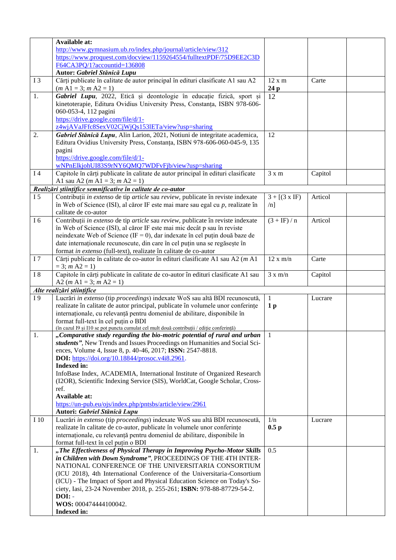|                | Available at:                                                                            |                      |         |  |
|----------------|------------------------------------------------------------------------------------------|----------------------|---------|--|
|                | http://www.gymnasium.ub.ro/index.php/journal/article/view/312                            |                      |         |  |
|                |                                                                                          |                      |         |  |
|                | https://www.proquest.com/docview/1159264554/fulltextPDF/75D9EE2C3D                       |                      |         |  |
|                | F64CA3PQ/1?accountid=136808                                                              |                      |         |  |
|                | Autor: Gabriel Stănică Lupu                                                              |                      |         |  |
| <b>I3</b>      | Cărți publicate în calitate de autor principal în edituri clasificate A1 sau A2          | 12 x m               | Carte   |  |
|                | $(m A1 = 3; m A2 = 1)$                                                                   | 24 p                 |         |  |
| 1.             | Gabriel Lupu, 2022, Etică și deontologie în educație fizică, sport și                    | 12                   |         |  |
|                | kinetoterapie, Editura Ovidius University Press, Constanța, ISBN 978-606-                |                      |         |  |
|                | 060-053-4, 112 pagini                                                                    |                      |         |  |
|                |                                                                                          |                      |         |  |
|                | https://drive.google.com/file/d/1-                                                       |                      |         |  |
|                | z4wjAVaJFfc8SexV02CjWjQs1531ETa/view?usp=sharing                                         |                      |         |  |
| 2.             | Gabriel Stănică Lupu, Alin Larion, 2021, Notiuni de integritate academica,               | 12                   |         |  |
|                | Editura Ovidius University Press, Constanța, ISBN 978-606-060-045-9, 135                 |                      |         |  |
|                | pagini                                                                                   |                      |         |  |
|                | https://drive.google.com/file/d/1-                                                       |                      |         |  |
|                | wNPnElkjohUI83S9rNY6QMQ7WDFvFjb/view?usp=sharing                                         |                      |         |  |
| I4             | Capitole în cărți publicate în calitate de autor principal în edituri clasificate        | $3 \times m$         | Capitol |  |
|                | A1 sau A2 ( $m$ A1 = 3; $m$ A2 = 1)                                                      |                      |         |  |
|                |                                                                                          |                      |         |  |
|                | Realizări științifice semnificative în calitate de co-autor                              |                      |         |  |
| I <sub>5</sub> | Contribuții in extenso de tip article sau review, publicate în reviste indexate          | $3 + [(3 \times IF)$ | Articol |  |
|                | în Web of Science (ISI), al căror IF este mai mare sau egal cu $p$ , realizate în        | $/n$ ]               |         |  |
|                | calitate de co-autor                                                                     |                      |         |  |
| I 6            | Contribuții in extenso de tip article sau review, publicate în reviste indexate          | $(3 + IF) / n$       | Articol |  |
|                | în Web of Science (ISI), al căror IF este mai mic decât p sau în reviste                 |                      |         |  |
|                | neindexate Web of Science (IF = 0), dar indexate în cel puțin două baze de               |                      |         |  |
|                | date internaționale recunoscute, din care în cel puțin una se regăsește în               |                      |         |  |
|                |                                                                                          |                      |         |  |
|                | format in extenso (full-text), realizate în calitate de co-autor                         |                      |         |  |
| I <sub>7</sub> | Cărți publicate în calitate de co-autor în edituri clasificate A1 sau A2 (m A1           | 12 x m/n             | Carte   |  |
|                | $= 3; m A2 = 1)$                                                                         |                      |         |  |
| <b>I</b> 8     | Capitole în cărți publicate în calitate de co-autor în edituri clasificate A1 sau        | 3 x m/n              | Capitol |  |
|                | A2 ( <i>m</i> A1 = 3; <i>m</i> A2 = 1)                                                   |                      |         |  |
|                | Alte realizări științifice                                                               |                      |         |  |
| I9             | Lucrări in extenso (tip proceedings) indexate WoS sau altă BDI recunoscută,              | $\mathbf{1}$         | Lucrare |  |
|                | realizate în calitate de autor principal, publicate în volumele unor conferințe          | 1 <sub>p</sub>       |         |  |
|                | internaționale, cu relevanță pentru domeniul de abilitare, disponibile în                |                      |         |  |
|                | format full-text în cel puțin o BDI                                                      |                      |         |  |
|                | (în cazul I9 și I10 se pot puncta cumulat cel mult două contribuții / ediție conferință) |                      |         |  |
| 1.             |                                                                                          |                      |         |  |
|                |                                                                                          |                      |         |  |
|                | "Comparative study regarding the bio-motric potential of rural and urban                 | $\mathbf{1}$         |         |  |
|                | students", New Trends and Issues Proceedings on Humanities and Social Sci-               |                      |         |  |
|                | ences, Volume 4, Issue 8, p. 40-46, 2017; ISSN: 2547-8818.                               |                      |         |  |
|                | DOI: https://doi.org/10.18844/prosoc.v4i8.2961.                                          |                      |         |  |
|                | Indexed in:                                                                              |                      |         |  |
|                | InfoBase Index, ACADEMIA, International Institute of Organized Research                  |                      |         |  |
|                | (I2OR), Scientific Indexing Service (SIS), WorldCat, Google Scholar, Cross-              |                      |         |  |
|                | ref.                                                                                     |                      |         |  |
|                |                                                                                          |                      |         |  |
|                | Available at:                                                                            |                      |         |  |
|                | https://un-pub.eu/ojs/index.php/pntsbs/article/view/2961                                 |                      |         |  |
|                | Autori: Gabriel Stănică Lupu                                                             |                      |         |  |
| I 10           | Lucrări in extenso (tip proceedings) indexate WoS sau altă BDI recunoscută,              | 1/n                  | Lucrare |  |
|                | realizate în calitate de co-autor, publicate în volumele unor conferințe                 | 0.5 <sub>p</sub>     |         |  |
|                | internaționale, cu relevanță pentru domeniul de abilitare, disponibile în                |                      |         |  |
|                | format full-text în cel puțin o BDI                                                      |                      |         |  |
| 1.             | "The Effectiveness of Physical Therapy in Improving Psycho-Motor Skills                  | 0.5                  |         |  |
|                | in Children with Down Syndrome", PROCEEDINGS OF THE 4TH INTER-                           |                      |         |  |
|                | NATIONAL CONFERENCE OF THE UNIVERSITARIA CONSORTIUM                                      |                      |         |  |
|                | (ICU 2018), 4th International Conference of the Universitaria-Consortium                 |                      |         |  |
|                |                                                                                          |                      |         |  |
|                | (ICU) - The Impact of Sport and Physical Education Science on Today's So-                |                      |         |  |
|                | ciety, Iasi, 23-24 November 2018, p. 255-261; ISBN: 978-88-87729-54-2.                   |                      |         |  |
|                | $DOI: -$                                                                                 |                      |         |  |
|                | WOS: 000474444100042.<br>Indexed in:                                                     |                      |         |  |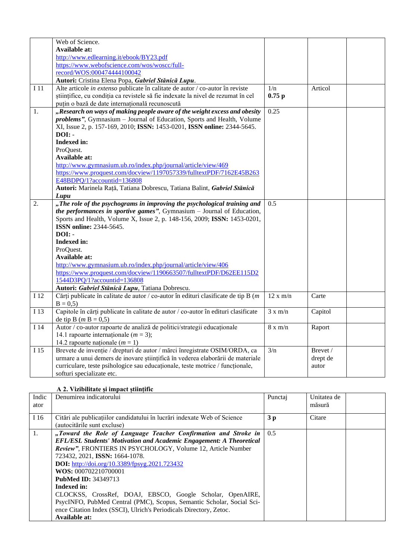|                  | Web of Science.                                                                    |                |          |
|------------------|------------------------------------------------------------------------------------|----------------|----------|
|                  | Available at:                                                                      |                |          |
|                  | http://www.edlearning.it/ebook/BY23.pdf                                            |                |          |
|                  | https://www.webofscience.com/wos/woscc/full-                                       |                |          |
|                  | record/WOS:000474444100042                                                         |                |          |
|                  | Autori: Cristina Elena Popa, Gabriel Stănică Lupu.                                 |                |          |
| I 11             | Alte articole in extenso publicate în calitate de autor / co-autor în reviste      | 1/n            | Articol  |
|                  | științifice, cu condiția ca revistele să fie indexate la nivel de rezumat în cel   | $0.75$ p       |          |
|                  | puțin o bază de date internațională recunoscută                                    |                |          |
| 1.               | "Research on ways of making people aware of the weight excess and obesity          | 0.25           |          |
|                  | <i>problems"</i> , Gymnasium - Journal of Education, Sports and Health, Volume     |                |          |
|                  | XI, Issue 2, p. 157-169, 2010; ISSN: 1453-0201, ISSN online: 2344-5645.            |                |          |
|                  | $DOI: -$                                                                           |                |          |
|                  | Indexed in:                                                                        |                |          |
|                  | ProQuest.                                                                          |                |          |
|                  | Available at:                                                                      |                |          |
|                  | http://www.gymnasium.ub.ro/index.php/journal/article/view/469                      |                |          |
|                  | https://www.proquest.com/docview/1197057339/fulltextPDF/7162E45B263                |                |          |
|                  | E48BDPQ/1?accountid=136808                                                         |                |          |
|                  | Autori: Marinela Rață, Tatiana Dobrescu, Tatiana Balint, Gabriel Stănică           |                |          |
|                  | Lupu                                                                               |                |          |
| $\overline{2}$ . | "The role of the psychograms in improving the psychological training and           | 0.5            |          |
|                  | the performances in sportive games", Gymnasium - Journal of Education,             |                |          |
|                  | Sports and Health, Volume X, Issue 2, p. 148-156, 2009; ISSN: 1453-0201,           |                |          |
|                  | <b>ISSN online: 2344-5645.</b>                                                     |                |          |
|                  | $DOI: -$                                                                           |                |          |
|                  | Indexed in:                                                                        |                |          |
|                  | ProQuest.                                                                          |                |          |
|                  | Available at:<br>http://www.gymnasium.ub.ro/index.php/journal/article/view/406     |                |          |
|                  | https://www.proquest.com/docview/1190663507/fulltextPDF/D62EE115D2                 |                |          |
|                  | 1544D3PQ/1?accountid=136808                                                        |                |          |
|                  | Autori: Gabriel Stănică Lupu, Tatiana Dobrescu.                                    |                |          |
| I 12             | Cărți publicate în calitate de autor / co-autor în edituri clasificate de tip B (m | 12 x m/n       | Carte    |
|                  | $B = 0.5$                                                                          |                |          |
| I 13             | Capitole în cărți publicate în calitate de autor / co-autor în edituri clasificate | 3 x m/n        | Capitol  |
|                  | de tip B ( <i>m</i> B = 0,5)                                                       |                |          |
| I 14             | Autor / co-autor rapoarte de analiză de politici/strategii educaționale            | $8 \times m/n$ | Raport   |
|                  | 14.1 rapoarte internaționale ( $m = 3$ );                                          |                |          |
|                  | 14.2 rapoarte naționale $(m = 1)$                                                  |                |          |
| I 15             | Brevete de invenție / drepturi de autor / mărci înregistrate OSIM/ORDA, ca         | 3/n            | Brevet / |
|                  | urmare a unui demers de inovare științifică în vederea elaborării de materiale     |                | drept de |
|                  | curriculare, teste psihologice sau educaționale, teste motrice / funcționale,      |                | autor    |
|                  | softuri specializate etc.                                                          |                |          |
|                  |                                                                                    |                |          |

#### **A 2. Vizibilitate și impact științific**

| Indic<br>ator  | Denumirea indicatorului                                                                                                                                                                                                                                                                                                                                                                                                                                                                                                                                                                                         | Punctaj        | Unitatea de<br>măsură |
|----------------|-----------------------------------------------------------------------------------------------------------------------------------------------------------------------------------------------------------------------------------------------------------------------------------------------------------------------------------------------------------------------------------------------------------------------------------------------------------------------------------------------------------------------------------------------------------------------------------------------------------------|----------------|-----------------------|
| I 16           | Citări ale publicațiilor candidatului în lucrări indexate Web of Science<br>(autocitările sunt excluse)                                                                                                                                                                                                                                                                                                                                                                                                                                                                                                         | 3 <sub>p</sub> | Citare                |
| $\mathbf{1}$ . | "Toward the Role of Language Teacher Confirmation and Stroke in<br><b>EFL/ESL Students' Motivation and Academic Engagement: A Theoretical</b><br>Review", FRONTIERS IN PSYCHOLOGY, Volume 12, Article Number<br>723432, 2021, <b>ISSN:</b> 1664-1078.<br>DOI: http://doi.org/10.3389/fpsyg.2021.723432<br>WOS: 000702210700001<br><b>PubMed ID: 34349713</b><br><b>Indexed in:</b><br>CLOCKSS, CrossRef, DOAJ, EBSCO, Google Scholar, OpenAIRE,<br>PsycINFO, PubMed Central (PMC), Scopus, Semantic Scholar, Social Sci-<br>ence Citation Index (SSCI), Ulrich's Periodicals Directory, Zetoc.<br>Available at: | 0.5            |                       |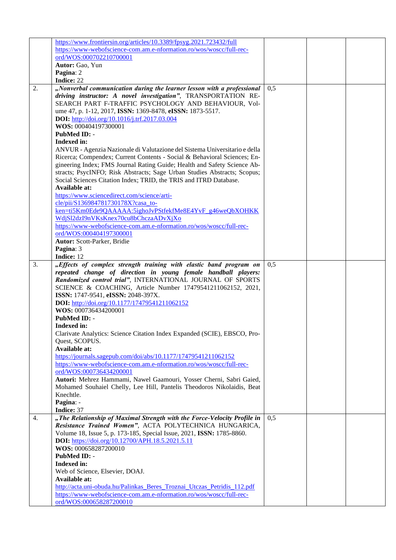|    | https://www.frontiersin.org/articles/10.3389/fpsyg.2021.723432/full                            |     |  |
|----|------------------------------------------------------------------------------------------------|-----|--|
|    |                                                                                                |     |  |
|    | https://www-webofscience-com.am.e-nformation.ro/wos/woscc/full-rec-                            |     |  |
|    | ord/WOS:000702210700001                                                                        |     |  |
|    | Autor: Gao, Yun                                                                                |     |  |
|    | Pagina: 2                                                                                      |     |  |
|    | Indice: 22                                                                                     |     |  |
| 2. | "Nonverbal communication during the learner lesson with a professional                         | 0,5 |  |
|    | driving instructor: A novel investigation", TRANSPORTATION RE-                                 |     |  |
|    | SEARCH PART F-TRAFFIC PSYCHOLOGY AND BEHAVIOUR, Vol-                                           |     |  |
|    | ume 47, p. 1-12, 2017, ISSN: 1369-8478, eISSN: 1873-5517.                                      |     |  |
|    |                                                                                                |     |  |
|    | DOI: http://doi.org/10.1016/j.trf.2017.03.004                                                  |     |  |
|    | WOS: 000404197300001                                                                           |     |  |
|    | <b>PubMed ID: -</b>                                                                            |     |  |
|    | <b>Indexed in:</b>                                                                             |     |  |
|    | ANVUR - Agenzia Nazionale di Valutazione del Sistema Universitario e della                     |     |  |
|    | Ricerca; Compendex; Current Contents - Social & Behavioral Sciences; En-                       |     |  |
|    | gineering Index; FMS Journal Rating Guide; Health and Safety Science Ab-                       |     |  |
|    | stracts; PsycINFO; Risk Abstracts; Sage Urban Studies Abstracts; Scopus;                       |     |  |
|    | Social Sciences Citation Index; TRID, the TRIS and ITRD Database.                              |     |  |
|    | Available at:                                                                                  |     |  |
|    | https://www.sciencedirect.com/science/arti-                                                    |     |  |
|    |                                                                                                |     |  |
|    | cle/pii/S136984781730178X?casa to-                                                             |     |  |
|    | ken=ti5Km0Ede9QAAAAA:5ighoJvPStfekfMe8E4YvF g46weQbXOHKK                                       |     |  |
|    | WdjSl2dzI9nVKsKnex70cu8bChczaADvXjXo                                                           |     |  |
|    | https://www-webofscience-com.am.e-nformation.ro/wos/woscc/full-rec-                            |     |  |
|    | ord/WOS:000404197300001                                                                        |     |  |
|    | Autor: Scott-Parker, Bridie                                                                    |     |  |
|    | Pagina: 3                                                                                      |     |  |
|    | Indice: 12                                                                                     |     |  |
| 3. | "Effects of complex strength training with elastic band program on                             | 0.5 |  |
|    |                                                                                                |     |  |
|    | repeated change of direction in young female handball players:                                 |     |  |
|    | Randomized control trial", INTERNATIONAL JOURNAL OF SPORTS                                     |     |  |
|    | SCIENCE & COACHING, Article Number 17479541211062152, 2021,                                    |     |  |
|    | ISSN: 1747-9541, eISSN: 2048-397X.                                                             |     |  |
|    | DOI: http://doi.org/10.1177/17479541211062152                                                  |     |  |
|    | WOS: 000736434200001                                                                           |     |  |
|    | <b>PubMed ID: -</b>                                                                            |     |  |
|    | <b>Indexed in:</b>                                                                             |     |  |
|    | Clarivate Analytics: Science Citation Index Expanded (SCIE), EBSCO, Pro-                       |     |  |
|    |                                                                                                |     |  |
|    | Quest, SCOPUS.                                                                                 |     |  |
|    | Available at:                                                                                  |     |  |
|    | https://journals.sagepub.com/doi/abs/10.1177/17479541211062152                                 |     |  |
|    | https://www-webofscience-com.am.e-nformation.ro/wos/woscc/full-rec-                            |     |  |
|    | ord/WOS:000736434200001                                                                        |     |  |
|    | Autori: Mehrez Hammami, Nawel Gaamouri, Yosser Cherni, Sabri Gaied,                            |     |  |
|    | Mohamed Souhaiel Chelly, Lee Hill, Pantelis Theodoros Nikolaidis, Beat                         |     |  |
|    | Knechtle.                                                                                      |     |  |
|    | Pagina: -                                                                                      |     |  |
|    | Indice: 37                                                                                     |     |  |
| 4. | "The Relationship of Maximal Strength with the Force-Velocity Profile in                       | 0.5 |  |
|    | Resistance Trained Women", ACTA POLYTECHNICA HUNGARICA,                                        |     |  |
|    |                                                                                                |     |  |
|    | Volume 18, Issue 5, p. 173-185, Special Issue, 2021, ISSN: 1785-8860.                          |     |  |
|    | DOI: https://doi.org/10.12700/APH.18.5.2021.5.11                                               |     |  |
|    | WOS: 000658287200010                                                                           |     |  |
|    | <b>PubMed ID: -</b>                                                                            |     |  |
|    | <b>Indexed in:</b>                                                                             |     |  |
|    | Web of Science, Elsevier, DOAJ.                                                                |     |  |
|    | Available at:                                                                                  |     |  |
|    |                                                                                                |     |  |
|    |                                                                                                |     |  |
|    | http://acta.uni-obuda.hu/Palinkas_Beres_Troznai_Utczas_Petridis_112.pdf                        |     |  |
|    | https://www-webofscience-com.am.e-nformation.ro/wos/woscc/full-rec-<br>ord/WOS:000658287200010 |     |  |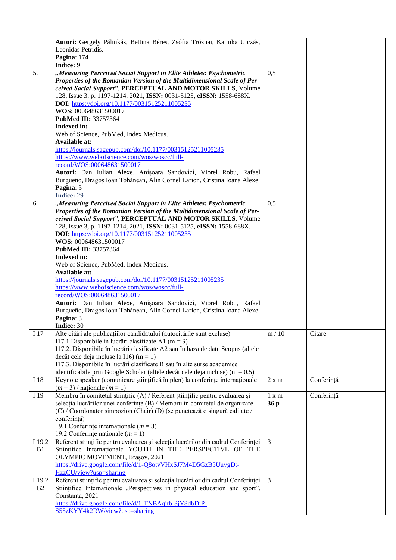|              | Autori: Gergely Pálinkás, Bettina Béres, Zsófia Tróznai, Katinka Utczás,<br>Leonidas Petridis.<br>Pagina: 174<br>Indice: 9                                                                                                                                                                                                                                                                                                                                                                                                                                                                                                                                                                                                                                                                |               |            |  |
|--------------|-------------------------------------------------------------------------------------------------------------------------------------------------------------------------------------------------------------------------------------------------------------------------------------------------------------------------------------------------------------------------------------------------------------------------------------------------------------------------------------------------------------------------------------------------------------------------------------------------------------------------------------------------------------------------------------------------------------------------------------------------------------------------------------------|---------------|------------|--|
| 5.           | "Measuring Perceived Social Support in Elite Athletes: Psychometric<br>Properties of the Romanian Version of the Multidimensional Scale of Per-<br>ceived Social Support", PERCEPTUAL AND MOTOR SKILLS, Volume<br>128, Issue 3, p. 1197-1214, 2021, ISSN: 0031-5125, eISSN: 1558-688X.<br>DOI: https://doi.org/10.1177/00315125211005235<br>WOS: 000648631500017<br>PubMed ID: 33757364<br>Indexed in:<br>Web of Science, PubMed, Index Medicus.<br>Available at:                                                                                                                                                                                                                                                                                                                         | 0,5           |            |  |
|              | https://journals.sagepub.com/doi/10.1177/00315125211005235<br>https://www.webofscience.com/wos/woscc/full-<br>record/WOS:000648631500017<br>Autori: Dan Iulian Alexe, Anisoara Sandovici, Viorel Robu, Rafael<br>Burgueño, Dragos Ioan Tohănean, Alin Cornel Larion, Cristina Ioana Alexe<br>Pagina: 3<br>Indice: 29                                                                                                                                                                                                                                                                                                                                                                                                                                                                      |               |            |  |
| 6.           | "Measuring Perceived Social Support in Elite Athletes: Psychometric<br>Properties of the Romanian Version of the Multidimensional Scale of Per-<br>ceived Social Support", PERCEPTUAL AND MOTOR SKILLS, Volume<br>128, Issue 3, p. 1197-1214, 2021, ISSN: 0031-5125, eISSN: 1558-688X.<br>DOI: https://doi.org/10.1177/00315125211005235<br>WOS: 000648631500017<br>PubMed ID: 33757364<br>Indexed in:<br>Web of Science, PubMed, Index Medicus.<br>Available at:<br>https://journals.sagepub.com/doi/10.1177/00315125211005235<br>https://www.webofscience.com/wos/woscc/full-<br>record/WOS:000648631500017<br>Autori: Dan Iulian Alexe, Anișoara Sandovici, Viorel Robu, Rafael<br>Burgueño, Dragos Ioan Tohănean, Alin Cornel Larion, Cristina Ioana Alexe<br>Pagina: 3<br>Indice: 30 | 0,5           |            |  |
| I 17         | Alte citări ale publicațiilor candidatului (autocitările sunt excluse)<br>I17.1 Disponibile în lucrări clasificate A1 (m = 3)<br>I17.2. Disponibile în lucrări clasificate A2 sau în baza de date Scopus (altele<br>decât cele deja incluse la I16) (m = 1)<br>I17.3. Disponibile în lucrări clasificate B sau în alte surse academice<br>identificabile prin Google Scholar (altele decât cele deja incluse) ( $m = 0.5$ )                                                                                                                                                                                                                                                                                                                                                               | m/10          | Citare     |  |
| I 18         | Keynote speaker (comunicare științifică în plen) la conferințe internaționale<br>$(m=3)$ / nationale $(m=1)$                                                                                                                                                                                                                                                                                                                                                                                                                                                                                                                                                                                                                                                                              | 2 x m         | Conferință |  |
| I 19         | Membru în comitetul științific (A) / Referent științific pentru evaluarea și<br>selecția lucrărilor unei conferințe (B) / Membru în comitetul de organizare<br>(C) / Coordonator simpozion (Chair) (D) (se punctează o singură calitate /<br>conferință)<br>19.1 Conferințe internaționale ( $m = 3$ )<br>19.2 Conferințe naționale ( $m = 1$ )                                                                                                                                                                                                                                                                                                                                                                                                                                           | 1 x m<br>36 p | Conferință |  |
| I 19.2<br>B1 | Referent științific pentru evaluarea și selecția lucrărilor din cadrul Conferinței<br>Stiintifice Internationale YOUTH IN THE PERSPECTIVE OF THE<br>OLYMPIC MOVEMENT, Brașov, 2021<br>https://drive.google.com/file/d/1-Q8otvVHxSJ7M4D5GzB5UuvgDt-<br>HzzCU/view?usp=sharing                                                                                                                                                                                                                                                                                                                                                                                                                                                                                                              | 3             |            |  |
| I 19.2<br>B2 | Referent științific pentru evaluarea și selecția lucrărilor din cadrul Conferinței<br>Stiintifice Internationale "Perspectives in physical education and sport",<br>Constanța, 2021<br>https://drive.google.com/file/d/1-TNBAqitb-3jY8dbDjP-<br>S55zKYY4k2RW/view?usp=sharing                                                                                                                                                                                                                                                                                                                                                                                                                                                                                                             | 3             |            |  |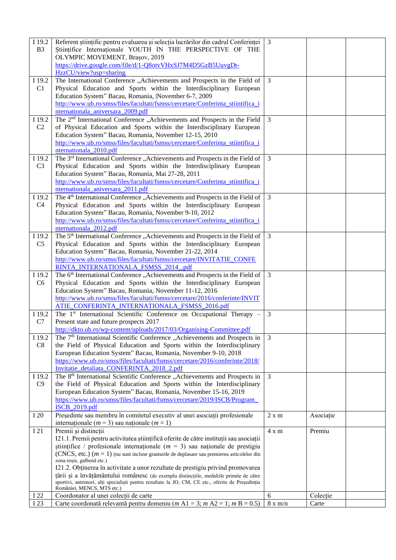| I 19.2<br>B <sub>3</sub> | Referent științific pentru evaluarea și selecția lucrărilor din cadrul Conferinței<br>Stiintifice Internationale YOUTH IN THE PERSPECTIVE OF THE<br>OLYMPIC MOVEMENT, Brașov, 2019 | $\mathfrak{Z}$ |           |  |
|--------------------------|------------------------------------------------------------------------------------------------------------------------------------------------------------------------------------|----------------|-----------|--|
|                          | https://drive.google.com/file/d/1-Q8otvVHxSJ7M4D5GzB5UuvgDt-<br>HzzCU/view?usp=sharing                                                                                             |                |           |  |
| I 19.2                   | The International Conference "Achievements and Prospects in the Field of                                                                                                           | 3              |           |  |
| C1                       | Physical Education and Sports within the Interdisciplinary European                                                                                                                |                |           |  |
|                          | Education System" Bacau, Romania,  November 6-7, 2009<br>http://www.ub.ro/smss/files/facultati/fsmss/cercetare/Conferinta_stiintifica_i                                            |                |           |  |
|                          | nternationala aniversara 2009.pdf                                                                                                                                                  |                |           |  |
| I 19.2                   | The 2 <sup>nd</sup> International Conference "Achievements and Prospects in the Field                                                                                              | 3              |           |  |
| C <sub>2</sub>           | of Physical Education and Sports within the Interdisciplinary European<br>Education System" Bacau, Romania, November 12-15, 2010                                                   |                |           |  |
|                          | http://www.ub.ro/smss/files/facultati/fsmss/cercetare/Conferinta_stiintifica_i                                                                                                     |                |           |  |
|                          | nternationala_2010.pdf                                                                                                                                                             |                |           |  |
| I 19.2<br>C <sub>3</sub> | The 3 <sup>rd</sup> International Conference "Achievements and Prospects in the Field of<br>Physical Education and Sports within the Interdisciplinary European                    | 3              |           |  |
|                          | Education System" Bacau, Romania, Mai 27-28, 2011                                                                                                                                  |                |           |  |
|                          | http://www.ub.ro/smss/files/facultati/fsmss/cercetare/Conferinta_stiintifica_i                                                                                                     |                |           |  |
|                          | nternationala_aniversara_2011.pdf                                                                                                                                                  |                |           |  |
| I 19.2<br>C <sub>4</sub> | The 4 <sup>th</sup> International Conference "Achievements and Prospects in the Field of<br>Physical Education and Sports within the Interdisciplinary European                    | $\overline{3}$ |           |  |
|                          | Education System" Bacau, Romania, November 9-10, 2012                                                                                                                              |                |           |  |
|                          | http://www.ub.ro/smss/files/facultati/fsmss/cercetare/Conferinta_stiintifica_i                                                                                                     |                |           |  |
|                          | nternationala_2012.pdf                                                                                                                                                             |                |           |  |
| I 19.2<br>C <sub>5</sub> | The 5 <sup>th</sup> International Conference "Achievements and Prospects in the Field of<br>Physical Education and Sports within the Interdisciplinary European                    | 3              |           |  |
|                          | Education System" Bacau, Romania, November 21-22, 2014                                                                                                                             |                |           |  |
|                          | http://www.ub.ro/smss/files/facultati/fsmss/cercetare/INVITATIE_CONFE                                                                                                              |                |           |  |
|                          | RINTA_INTERNATIONALA_FSMSS_2014_.pdf                                                                                                                                               | $\overline{3}$ |           |  |
| I 19.2<br>C <sub>6</sub> | The 6 <sup>th</sup> International Conference "Achievements and Prospects in the Field of<br>Physical Education and Sports within the Interdisciplinary European                    |                |           |  |
|                          | Education System" Bacau, Romania, November 11-12, 2016                                                                                                                             |                |           |  |
|                          | http://www.ub.ro/smss/files/facultati/fsmss/cercetare/2016/conferinte/INVIT                                                                                                        |                |           |  |
| I 19.2                   | ATIE_CONFERINTA_INTERNATIONALA_FSMSS_2016.pdf<br>The 1 <sup>st</sup> International Scientific Conference on Occupational Therapy -                                                 | 3              |           |  |
| C7                       | Present state and future prospects 2017                                                                                                                                            |                |           |  |
|                          | http://dkto.ub.ro/wp-content/uploads/2017/03/Organising-Committee.pdf                                                                                                              |                |           |  |
| I 19.2                   | The 7 <sup>th</sup> International Scientific Conference "Achievements and Prospects in                                                                                             | 3              |           |  |
| C8                       | the Field of Physical Education and Sports within the Interdisciplinary<br>European Education System" Bacau, Romania, November 9-10, 2018                                          |                |           |  |
|                          | https://www.ub.ro/smss/files/facultati/fsmss/cercetare/2016/conferinte/2018/                                                                                                       |                |           |  |
|                          | Invitatie_detaliata_CONFERINTA_2018_2.pdf                                                                                                                                          |                |           |  |
| I 19.2<br>C9             | The 8 <sup>th</sup> International Scientific Conference "Achievements and Prospects in<br>the Field of Physical Education and Sports within the Interdisciplinary                  | 3              |           |  |
|                          | European Education System" Bacau, Romania, November 15-16, 2019                                                                                                                    |                |           |  |
|                          | https://www.ub.ro/smss/files/facultati/fsmss/cercetare/2019/ISCB/Program_                                                                                                          |                |           |  |
|                          | <b>ISCB 2019.pdf</b>                                                                                                                                                               |                |           |  |
| I 20                     | Președinte sau membru în comitetul executiv al unei asociații profesionale<br>internationale ( $m = 3$ ) sau naționale ( $m = 1$ )                                                 | 2 x m          | Asociație |  |
| I 21                     | Premii și distincții                                                                                                                                                               | 4 x m          | Premiu    |  |
|                          | I21.1. Premii pentru activitatea științifică oferite de către instituții sau asociații<br>stiințifice / profesionale internaționale ( $m = 3$ ) sau naționale de prestigiu         |                |           |  |
|                          | (CNCS, etc.) $(m = 1)$ (nu sunt incluse granturile de deplasare sau premierea articolelor din                                                                                      |                |           |  |
|                          | zona roșie, galbenă etc.)                                                                                                                                                          |                |           |  |
|                          | I21.2. Obținerea în activitate a unor rezultate de prestigiu privind promovarea<br>țării și a învățământului românesc (de exemplu distincțiile, medaliile primite de către         |                |           |  |
|                          | sportivi, antrenori, alți specialiști pentru rezultate la JO, CM, CE etc., oferite de Președinția                                                                                  |                |           |  |
| I 22                     | României, MENCS, MTS etc.)<br>Coordonator al unei colecții de carte                                                                                                                | 6              | Colecție  |  |
| I 23                     | Carte coordonată relevantă pentru domeniu (m A1 = 3; m A2 = 1; m B = 0.5)                                                                                                          | $8 \times m/n$ | Carte     |  |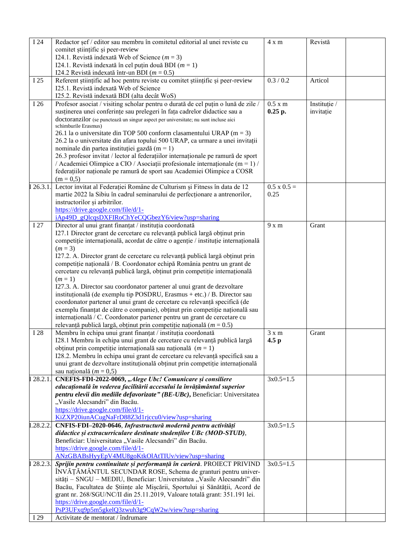| $\overline{1}$ 24 | Redactor șef / editor sau membru în comitetul editorial al unei reviste cu          | 4 x m              | Revistă      |  |
|-------------------|-------------------------------------------------------------------------------------|--------------------|--------------|--|
|                   | comitet stiintific si peer-review                                                   |                    |              |  |
|                   | I24.1. Revistă indexată Web of Science ( $m = 3$ )                                  |                    |              |  |
|                   | I24.1. Revistă indexată în cel puțin două BDI ( $m = 1$ )                           |                    |              |  |
|                   | I24.2 Revistă indexată într-un BDI ( $m = 0.5$ )                                    |                    |              |  |
| I 25              | Referent științific ad hoc pentru reviste cu comitet științific și peer-review      | 0.3 / 0.2          | Articol      |  |
|                   | I25.1. Revistă indexată Web of Science                                              |                    |              |  |
|                   |                                                                                     |                    |              |  |
|                   | I25.2. Revistă indexată BDI (alta decât WoS)                                        |                    |              |  |
| I 26              | Profesor asociat / visiting scholar pentru o durată de cel puțin o lună de zile /   | 0.5 x m            | Instituție / |  |
|                   | susținerea unei conferințe sau prelegeri în fața cadrelor didactice sau a           | 0.25 p.            | invitație    |  |
|                   | doctoranzilor (se punctează un singur aspect per universitate; nu sunt incluse aici |                    |              |  |
|                   | schimburile Erasmus)                                                                |                    |              |  |
|                   | 26.1 la o universitate din TOP 500 conform clasamentului URAP ( $m = 3$ )           |                    |              |  |
|                   | 26.2 la o universitate din afara topului 500 URAP, ca urmare a unei invitații       |                    |              |  |
|                   | nominale din partea instituției gazdă (m = 1)                                       |                    |              |  |
|                   | 26.3 profesor invitat / lector al federațiilor internaționale pe ramură de sport    |                    |              |  |
|                   | / Academiei Olimpice a CIO / Asociații profesionale internaționale (m = 1) /        |                    |              |  |
|                   | federațiilor naționale pe ramură de sport sau Academiei Olimpice a COSR             |                    |              |  |
|                   | $(m = 0.5)$                                                                         |                    |              |  |
| 126.3.1.          | Lector invitat al Federației Române de Culturism și Fitness în data de 12           | $0.5 \times 0.5 =$ |              |  |
|                   | martie 2022 la Sibiu în cadrul seminarului de perfecționare a antrenorilor,         | 0.25               |              |  |
|                   | instructorilor și arbitrilor.                                                       |                    |              |  |
|                   | https://drive.google.com/file/d/1-                                                  |                    |              |  |
|                   | iAp49D_gQlcqsDXFIRoChYeCQGbezY6/view?usp=sharing                                    |                    |              |  |
| I 27              | Director al unui grant finanțat / instituția coordonată                             | $9x$ m             | Grant        |  |
|                   | I27.1 Director grant de cercetare cu relevanță publică largă obținut prin           |                    |              |  |
|                   | competiție internațională, acordat de către o agenție / instituție internațională   |                    |              |  |
|                   | $(m = 3)$                                                                           |                    |              |  |
|                   | I27.2. A. Director grant de cercetare cu relevanță publică largă obținut prin       |                    |              |  |
|                   | competiție națională / B. Coordonator echipă România pentru un grant de             |                    |              |  |
|                   | cercetare cu relevanță publică largă, obținut prin competiție internațională        |                    |              |  |
|                   | $(m=1)$                                                                             |                    |              |  |
|                   | I27.3. A. Director sau coordonator partener al unui grant de dezvoltare             |                    |              |  |
|                   | instituțională (de exemplu tip POSDRU, Erasmus + etc.) / B. Director sau            |                    |              |  |
|                   | coordonator partener al unui grant de cercetare cu relevanță specifică (de          |                    |              |  |
|                   | exemplu finanțat de către o companie), obținut prin competiție națională sau        |                    |              |  |
|                   | internațională / C. Coordonator partener pentru un grant de cercetare cu            |                    |              |  |
|                   | relevanță publică largă, obținut prin competiție națională ( $m = 0.5$ )            |                    |              |  |
| I 28              | Membru în echipa unui grant finanțat / instituția coordonată                        | $3 \times m$       | Grant        |  |
|                   | I28.1 Membru în echipa unui grant de cercetare cu relevanță publică largă           | 4.5 <sub>p</sub>   |              |  |
|                   | obținut prin competiție internațională sau națională $(m = 1)$                      |                    |              |  |
|                   | I28.2. Membru în echipa unui grant de cercetare cu relevanță specifică sau a        |                    |              |  |
|                   | unui grant de dezvoltare instituțională obținut prin competiție internațională      |                    |              |  |
|                   | sau națională ( $m = 0.5$ )                                                         |                    |              |  |
| 128.2.1.          | CNEFIS-FDI-2022-0069, "Alege Ubc! Comunicare și consiliere                          | $3x0.5=1.5$        |              |  |
|                   | educațională în vederea facilitării accesului la învățământul superior              |                    |              |  |
|                   | pentru elevii din mediile defavorizate" (BE-UBc), Beneficiar: Universitatea         |                    |              |  |
|                   | "Vasile Alecsandri" din Bacău.                                                      |                    |              |  |
|                   | https://drive.google.com/file/d/1-                                                  |                    |              |  |
|                   | KiZXP20iunACugNaFrD88Z3d1rjccu0/view?usp=sharing                                    |                    |              |  |
| I.28.2.2.         | CNFIS-FDI-2020-0646, Infrastructură modernă pentru activități                       | $3x0.5=1.5$        |              |  |
|                   | didactice și extracurriculare destinate studenților UBc (MOD-STUD),                 |                    |              |  |
|                   | Beneficiar: Universitatea "Vasile Alecsandri" din Bacău.                            |                    |              |  |
|                   | https://drive.google.com/file/d/1-                                                  |                    |              |  |
|                   | ANzGBABsHyyEpV4MU8goKtkOlAtTIUv/view?usp=sharing                                    |                    |              |  |
| I 28.2.3.         | Sprijin pentru continuitate și performanță în carieră. PROIECT PRIVIND              | $3x0.5=1.5$        |              |  |
|                   |                                                                                     |                    |              |  |
|                   | ÎNVĂȚĂMÂNTUL SECUNDAR ROSE, Schema de granturi pentru univer-                       |                    |              |  |
|                   | sități - SNGU - MEDIU, Beneficiar: Universitatea "Vasile Alecsandri" din            |                    |              |  |
|                   | Bacău, Facultatea de Științe ale Mișcării, Sportului și Sănătății, Acord de         |                    |              |  |
|                   | grant nr. 268/SGU/NC/II din 25.11.2019, Valoare totală grant: 351.191 lei.          |                    |              |  |
|                   | https://drive.google.com/file/d/1-                                                  |                    |              |  |
|                   | PsP3UFxq9p5m5gkelQ3zwuh3g9CqW2w/view?usp=sharing                                    |                    |              |  |
| I 29              | Activitate de mentorat / îndrumare                                                  |                    |              |  |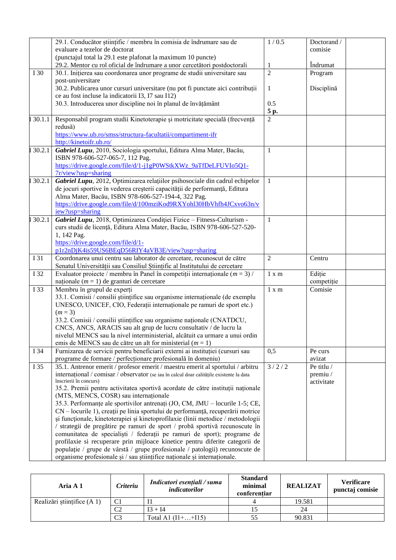|        | 29.1. Conducător științific / membru în comisia de îndrumare sau de                                                                             | 1/0.5          | Doctorand /          |
|--------|-------------------------------------------------------------------------------------------------------------------------------------------------|----------------|----------------------|
|        | evaluare a tezelor de doctorat                                                                                                                  |                | comisie              |
|        | (punctajul total la 29.1 este plafonat la maximum 10 puncte)                                                                                    |                |                      |
|        | 29.2. Mentor cu rol oficial de îndrumare a unor cercetători postdoctorali                                                                       | 1              | Îndrumat             |
| I 30   | 30.1. Inițierea sau coordonarea unor programe de studii universitare sau                                                                        | $\overline{2}$ | Program              |
|        | post-universitare                                                                                                                               |                |                      |
|        | 30.2. Publicarea unor cursuri universitare (nu pot fi punctate aici contribuții                                                                 | 1              | Disciplină           |
|        | ce au fost incluse la indicatorii I3, I7 sau I12)                                                                                               |                |                      |
|        | 30.3. Introducerea unor discipline noi în planul de învățământ                                                                                  | 0.5            |                      |
|        |                                                                                                                                                 | 5 p.           |                      |
| 30.1.1 | Responsabil program studii Kinetoterapie și motricitate specială (frecvență                                                                     | $\overline{c}$ |                      |
|        | redusă)                                                                                                                                         |                |                      |
|        | https://www.ub.ro/smss/structura-facultatii/compartiment-ifr                                                                                    |                |                      |
|        | http://kinetoifr.ub.ro/                                                                                                                         |                |                      |
| 30.2.1 | Gabriel Lupu, 2010, Sociologia sportului, Editura Alma Mater, Bacău,                                                                            | $\mathbf{1}$   |                      |
|        | ISBN 978-606-527-065-7, 112 Pag.                                                                                                                |                |                      |
|        | https://drive.google.com/file/d/1-j1gP0WStkXWz_9aTfDeLFUVIo5Q1-<br>$7r$ /view?usp=sharing                                                       |                |                      |
|        | Gabriel Lupu, 2012, Optimizarea relațiilor psihosociale din cadrul echipelor                                                                    | $\mathbf{1}$   |                      |
| 30.2.1 | de jocuri sportive în vederea creșterii capacității de performanță, Editura                                                                     |                |                      |
|        | Alma Mater, Bacău, ISBN 978-606-527-194-4, 322 Pag.                                                                                             |                |                      |
|        | https://drive.google.com/file/d/100mziKod9RXYohl30HbVhfh4JCxvo63n/v                                                                             |                |                      |
|        | iew?usp=sharing                                                                                                                                 |                |                      |
| 30.2.1 | Gabriel Lupu, 2018, Optimizarea Condiției Fizice - Fitness-Culturism -                                                                          | $\mathbf{1}$   |                      |
|        | curs studii de licență, Editura Alma Mater, Bacău, ISBN 978-606-527-520-                                                                        |                |                      |
|        | 1, 142 Pag.                                                                                                                                     |                |                      |
|        | https://drive.google.com/file/d/1-                                                                                                              |                |                      |
|        | p1r2nDjK4is59US6BEqD56RIY4aVB3E/view?usp=sharing                                                                                                |                |                      |
| I 31   | Coordonarea unui centru sau laborator de cercetare, recunoscut de către                                                                         | $\overline{2}$ | Centru               |
|        | Senatul Universității sau Consiliul Științific al Institutului de cercetare                                                                     |                |                      |
| I 32   | Evaluator proiecte / membru în Panel în competiții internaționale ( $m = 3$ ) /                                                                 | 1 x m          | Ediție               |
|        | naționale ( $m = 1$ ) de granturi de cercetare                                                                                                  |                | competiție           |
| I 33   | Membru în grupul de experți                                                                                                                     | 1 x m          | Comisie              |
|        | 33.1. Comisii / consilii științifice sau organisme internaționale (de exemplu                                                                   |                |                      |
|        | UNESCO, UNICEF, CIO, Federații internaționale pe ramuri de sport etc.)                                                                          |                |                      |
|        | $(m = 3)$                                                                                                                                       |                |                      |
|        | 33.2. Comisii / consilii științifice sau organisme naționale (CNATDCU,                                                                          |                |                      |
|        | CNCS, ANCS, ARACIS sau alt grup de lucru consultativ / de lucru la                                                                              |                |                      |
|        | nivelul MENCS sau la nivel interministerial, alcătuit ca urmare a unui ordin                                                                    |                |                      |
|        | emis de MENCS sau de către un alt for ministerial ( $m = 1$ )                                                                                   |                |                      |
| I 34   | Furnizarea de servicii pentru beneficiarii externi ai instituției (cursuri sau                                                                  | 0,5            | Pe curs              |
| I 35   | programe de formare / perfecționare profesională în domeniu)<br>35.1. Antrenor emerit / profesor emerit / maestru emerit al sportului / arbitru | 3/2/2          | avizat<br>Pe titlu / |
|        | internațional / comisar / observator (se iau în calcul doar calitățile existente la data                                                        |                | premiu /             |
|        | înscrierii în concurs)                                                                                                                          |                | activitate           |
|        | 35.2. Premii pentru activitatea sportivă acordate de către instituții naționale                                                                 |                |                      |
|        | (MTS, MENCS, COSR) sau internaționale                                                                                                           |                |                      |
|        | 35.3. Performante ale sportivilor antrenați (JO, CM, JMU – locurile 1-5; CE,                                                                    |                |                      |
|        | CN – locurile 1), creații pe linia sportului de performanță, recuperării motrice                                                                |                |                      |
|        | și funcționale, kinetoterapiei și kinetoprofilaxie (linii metodice / metodologii                                                                |                |                      |
|        | / strategii de pregătire pe ramuri de sport / probă sportivă recunoscute în                                                                     |                |                      |
|        | comunitatea de specialisti / federații pe ramuri de sport); programe de                                                                         |                |                      |
|        | profilaxie si recuperare prin mijloace kinetice pentru diferite categorii de                                                                    |                |                      |
|        | populație / grupe de vârstă / grupe profesionale / patologii) recunoscute de                                                                    |                |                      |
|        | organisme profesionale și / sau științifice naționale și internaționale.                                                                        |                |                      |

| Aria A 1                    | <b>Criteriu</b> | Indicatori esențiali / suma<br>indicatorilor | <b>Standard</b><br>minimal<br>conferentiar | <b>REALIZAT</b> | <b>Verificare</b><br>punctaj comisie |
|-----------------------------|-----------------|----------------------------------------------|--------------------------------------------|-----------------|--------------------------------------|
| Realizări științifice (A 1) | C <sub>1</sub>  |                                              |                                            | 19.581          |                                      |
|                             | C <sub>2</sub>  | $I$ 3 + $I$ 4                                |                                            | 24              |                                      |
|                             | C <sub>3</sub>  | Total A1 $(11 +  + 115)$                     |                                            | 90.831          |                                      |